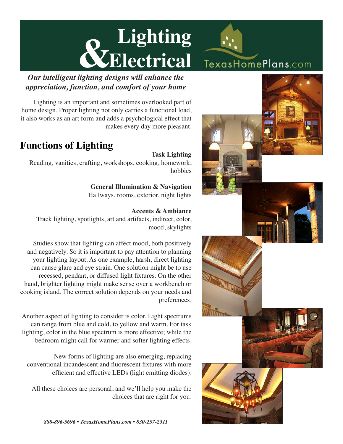# **Lighting &Electrical** TexasHomePlans.com

*Our intelligent lighting designs will enhance the appreciation, function, and comfort of your home*

Lighting is an important and sometimes overlooked part of home design. Proper lighting not only carries a functional load, it also works as an art form and adds a psychological effect that makes every day more pleasant.

## **Functions of Lighting**

## **Task Lighting**

Reading, vanities, crafting, workshops, cooking, homework, hobbies

> **General Illumination & Navigation** Hallways, rooms, exterior, night lights

### **Accents & Ambiance**

Track lighting, spotlights, art and artifacts, indirect, color, mood, skylights

Studies show that lighting can affect mood, both positively and negatively. So it is important to pay attention to planning your lighting layout. As one example, harsh, direct lighting can cause glare and eye strain. One solution might be to use recessed, pendant, or diffused light fixtures. On the other hand, brighter lighting might make sense over a workbench or cooking island. The correct solution depends on your needs and preferences.

Another aspect of lighting to consider is color. Light spectrums can range from blue and cold, to yellow and warm. For task lighting, color in the blue spectrum is more effective; while the bedroom might call for warmer and softer lighting effects.

New forms of lighting are also emerging, replacing conventional incandescent and fluorescent fixtures with more efficient and effective LEDs (light emitting diodes).

All these choices are personal, and we'll help you make the choices that are right for you.

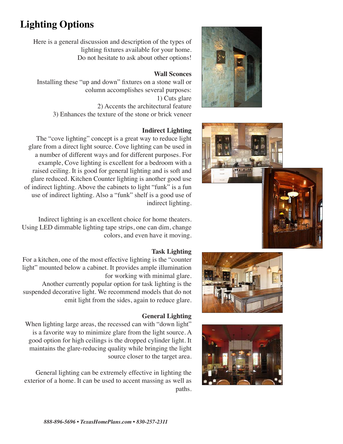# **Lighting Options**

Here is a general discussion and description of the types of lighting fixtures available for your home. Do not hesitate to ask about other options!

#### **Wall Sconces**

Installing these "up and down" fixtures on a stone wall or column accomplishes several purposes: 1) Cuts glare 2) Accents the architectural feature 3) Enhances the texture of the stone or brick veneer

#### **Indirect Lighting**

The "cove lighting" concept is a great way to reduce light glare from a direct light source. Cove lighting can be used in a number of different ways and for different purposes. For example, Cove lighting is excellent for a bedroom with a raised ceiling. It is good for general lighting and is soft and glare reduced. Kitchen Counter lighting is another good use of indirect lighting. Above the cabinets to light "funk" is a fun use of indirect lighting. Also a "funk" shelf is a good use of indirect lighting.

Indirect lighting is an excellent choice for home theaters. Using LED dimmable lighting tape strips, one can dim, change colors, and even have it moving.

#### **Task Lighting**

For a kitchen, one of the most effective lighting is the "counter light" mounted below a cabinet. It provides ample illumination for working with minimal glare. Another currently popular option for task lighting is the suspended decorative light. We recommend models that do not emit light from the sides, again to reduce glare.

#### **General Lighting**

When lighting large areas, the recessed can with "down light" is a favorite way to minimize glare from the light source. A good option for high ceilings is the dropped cylinder light. It maintains the glare-reducing quality while bringing the light source closer to the target area.

General lighting can be extremely effective in lighting the exterior of a home. It can be used to accent massing as well as paths.







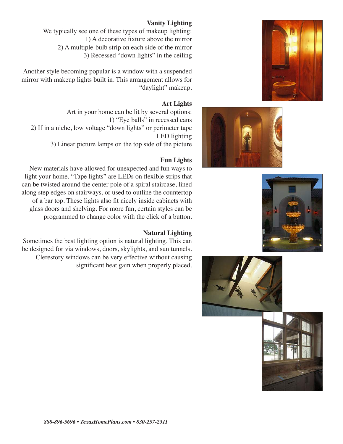







#### **Vanity Lighting**

We typically see one of these types of makeup lighting: 1) A decorative fixture above the mirror 2) A multiple-bulb strip on each side of the mirror 3) Recessed "down lights" in the ceiling

Another style becoming popular is a window with a suspended mirror with makeup lights built in. This arrangement allows for "daylight" makeup.

#### **Art Lights**

Art in your home can be lit by several options: 1) "Eye balls" in recessed cans 2) If in a niche, low voltage "down lights" or perimeter tape LED lighting 3) Linear picture lamps on the top side of the picture

#### **Fun Lights**

New materials have allowed for unexpected and fun ways to light your home. "Tape lights" are LEDs on flexible strips that can be twisted around the center pole of a spiral staircase, lined along step edges on stairways, or used to outline the countertop of a bar top. These lights also fit nicely inside cabinets with glass doors and shelving. For more fun, certain styles can be programmed to change color with the click of a button.

#### **Natural Lighting**

Sometimes the best lighting option is natural lighting. This can be designed for via windows, doors, skylights, and sun tunnels. Clerestory windows can be very effective without causing significant heat gain when properly placed.